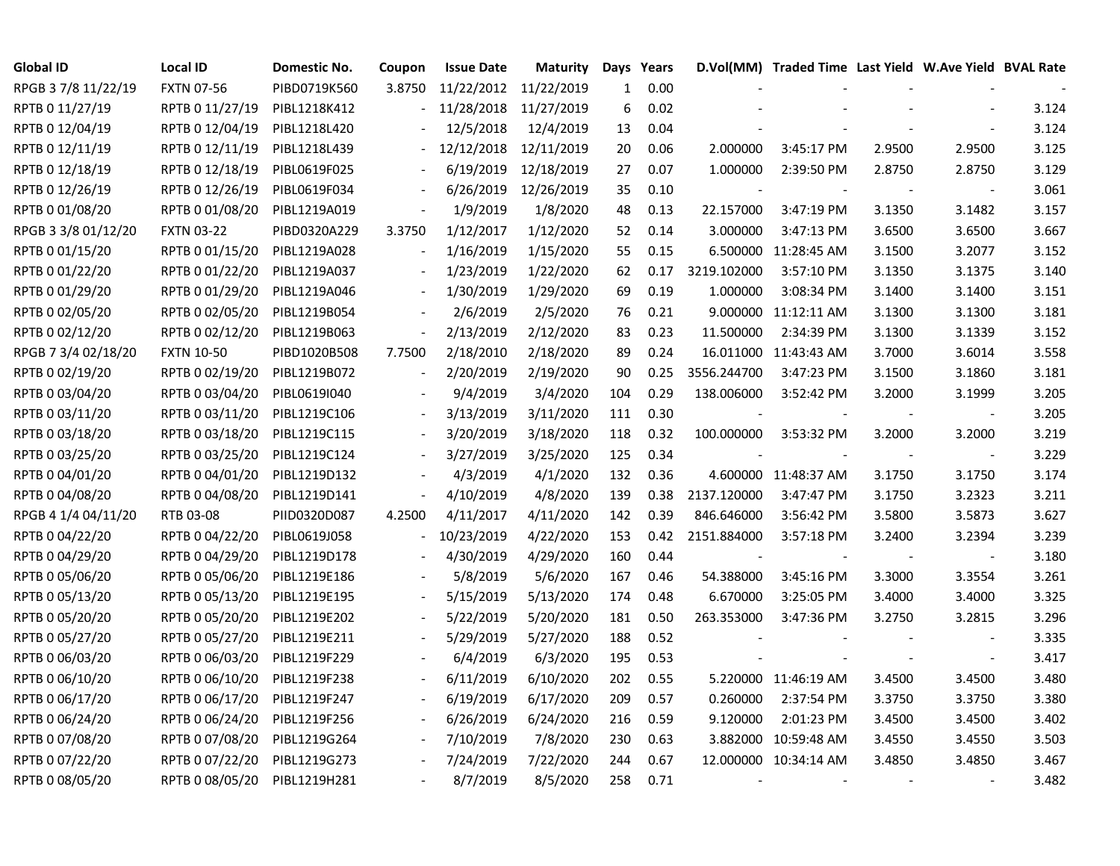| Global ID           | <b>Local ID</b>   | Domestic No. | Coupon | <b>Issue Date</b>     | Maturity   | Days         | Years |             | D.Vol(MM) Traded Time Last Yield W.Ave Yield BVAL Rate |        |                          |       |
|---------------------|-------------------|--------------|--------|-----------------------|------------|--------------|-------|-------------|--------------------------------------------------------|--------|--------------------------|-------|
| RPGB 37/8 11/22/19  | <b>FXTN 07-56</b> | PIBD0719K560 | 3.8750 | 11/22/2012 11/22/2019 |            | $\mathbf{1}$ | 0.00  |             |                                                        |        |                          |       |
| RPTB 0 11/27/19     | RPTB 0 11/27/19   | PIBL1218K412 |        | 11/28/2018            | 11/27/2019 | 6            | 0.02  |             |                                                        |        |                          | 3.124 |
| RPTB 0 12/04/19     | RPTB 0 12/04/19   | PIBL1218L420 |        | 12/5/2018             | 12/4/2019  | 13           | 0.04  |             |                                                        |        |                          | 3.124 |
| RPTB 0 12/11/19     | RPTB 0 12/11/19   | PIBL1218L439 |        | 12/12/2018            | 12/11/2019 | 20           | 0.06  | 2.000000    | 3:45:17 PM                                             | 2.9500 | 2.9500                   | 3.125 |
| RPTB 0 12/18/19     | RPTB 0 12/18/19   | PIBL0619F025 |        | 6/19/2019             | 12/18/2019 | 27           | 0.07  | 1.000000    | 2:39:50 PM                                             | 2.8750 | 2.8750                   | 3.129 |
| RPTB 0 12/26/19     | RPTB 0 12/26/19   | PIBL0619F034 |        | 6/26/2019             | 12/26/2019 | 35           | 0.10  |             |                                                        |        | $\overline{\phantom{a}}$ | 3.061 |
| RPTB 0 01/08/20     | RPTB 0 01/08/20   | PIBL1219A019 |        | 1/9/2019              | 1/8/2020   | 48           | 0.13  | 22.157000   | 3:47:19 PM                                             | 3.1350 | 3.1482                   | 3.157 |
| RPGB 3 3/8 01/12/20 | <b>FXTN 03-22</b> | PIBD0320A229 | 3.3750 | 1/12/2017             | 1/12/2020  | 52           | 0.14  | 3.000000    | 3:47:13 PM                                             | 3.6500 | 3.6500                   | 3.667 |
| RPTB 0 01/15/20     | RPTB 0 01/15/20   | PIBL1219A028 |        | 1/16/2019             | 1/15/2020  | 55           | 0.15  |             | 6.500000 11:28:45 AM                                   | 3.1500 | 3.2077                   | 3.152 |
| RPTB 0 01/22/20     | RPTB 0 01/22/20   | PIBL1219A037 |        | 1/23/2019             | 1/22/2020  | 62           | 0.17  | 3219.102000 | 3:57:10 PM                                             | 3.1350 | 3.1375                   | 3.140 |
| RPTB 0 01/29/20     | RPTB 0 01/29/20   | PIBL1219A046 |        | 1/30/2019             | 1/29/2020  | 69           | 0.19  | 1.000000    | 3:08:34 PM                                             | 3.1400 | 3.1400                   | 3.151 |
| RPTB 0 02/05/20     | RPTB 0 02/05/20   | PIBL1219B054 |        | 2/6/2019              | 2/5/2020   | 76           | 0.21  |             | 9.000000 11:12:11 AM                                   | 3.1300 | 3.1300                   | 3.181 |
| RPTB 0 02/12/20     | RPTB 0 02/12/20   | PIBL1219B063 |        | 2/13/2019             | 2/12/2020  | 83           | 0.23  | 11.500000   | 2:34:39 PM                                             | 3.1300 | 3.1339                   | 3.152 |
| RPGB 7 3/4 02/18/20 | <b>FXTN 10-50</b> | PIBD1020B508 | 7.7500 | 2/18/2010             | 2/18/2020  | 89           | 0.24  |             | 16.011000 11:43:43 AM                                  | 3.7000 | 3.6014                   | 3.558 |
| RPTB 0 02/19/20     | RPTB 0 02/19/20   | PIBL1219B072 |        | 2/20/2019             | 2/19/2020  | 90           | 0.25  | 3556.244700 | 3:47:23 PM                                             | 3.1500 | 3.1860                   | 3.181 |
| RPTB 0 03/04/20     | RPTB 0 03/04/20   | PIBL0619I040 |        | 9/4/2019              | 3/4/2020   | 104          | 0.29  | 138.006000  | 3:52:42 PM                                             | 3.2000 | 3.1999                   | 3.205 |
| RPTB 0 03/11/20     | RPTB 0 03/11/20   | PIBL1219C106 |        | 3/13/2019             | 3/11/2020  | 111          | 0.30  |             |                                                        |        |                          | 3.205 |
| RPTB 0 03/18/20     | RPTB 0 03/18/20   | PIBL1219C115 |        | 3/20/2019             | 3/18/2020  | 118          | 0.32  | 100.000000  | 3:53:32 PM                                             | 3.2000 | 3.2000                   | 3.219 |
| RPTB 0 03/25/20     | RPTB 0 03/25/20   | PIBL1219C124 |        | 3/27/2019             | 3/25/2020  | 125          | 0.34  |             |                                                        | $\sim$ | $\overline{\phantom{a}}$ | 3.229 |
| RPTB 0 04/01/20     | RPTB 0 04/01/20   | PIBL1219D132 |        | 4/3/2019              | 4/1/2020   | 132          | 0.36  |             | 4.600000 11:48:37 AM                                   | 3.1750 | 3.1750                   | 3.174 |
| RPTB 0 04/08/20     | RPTB 0 04/08/20   | PIBL1219D141 |        | 4/10/2019             | 4/8/2020   | 139          | 0.38  | 2137.120000 | 3:47:47 PM                                             | 3.1750 | 3.2323                   | 3.211 |
| RPGB 4 1/4 04/11/20 | RTB 03-08         | PIID0320D087 | 4.2500 | 4/11/2017             | 4/11/2020  | 142          | 0.39  | 846.646000  | 3:56:42 PM                                             | 3.5800 | 3.5873                   | 3.627 |
| RPTB 0 04/22/20     | RPTB 0 04/22/20   | PIBL0619J058 |        | 10/23/2019            | 4/22/2020  | 153          | 0.42  | 2151.884000 | 3:57:18 PM                                             | 3.2400 | 3.2394                   | 3.239 |
| RPTB 0 04/29/20     | RPTB 0 04/29/20   | PIBL1219D178 |        | 4/30/2019             | 4/29/2020  | 160          | 0.44  |             |                                                        |        | $\blacksquare$           | 3.180 |
| RPTB 0 05/06/20     | RPTB 0 05/06/20   | PIBL1219E186 |        | 5/8/2019              | 5/6/2020   | 167          | 0.46  | 54.388000   | 3:45:16 PM                                             | 3.3000 | 3.3554                   | 3.261 |
| RPTB 0 05/13/20     | RPTB 0 05/13/20   | PIBL1219E195 |        | 5/15/2019             | 5/13/2020  | 174          | 0.48  | 6.670000    | 3:25:05 PM                                             | 3.4000 | 3.4000                   | 3.325 |
| RPTB 0 05/20/20     | RPTB 0 05/20/20   | PIBL1219E202 |        | 5/22/2019             | 5/20/2020  | 181          | 0.50  | 263.353000  | 3:47:36 PM                                             | 3.2750 | 3.2815                   | 3.296 |
| RPTB 0 05/27/20     | RPTB 0 05/27/20   | PIBL1219E211 |        | 5/29/2019             | 5/27/2020  | 188          | 0.52  |             |                                                        |        |                          | 3.335 |
| RPTB 0 06/03/20     | RPTB 0 06/03/20   | PIBL1219F229 |        | 6/4/2019              | 6/3/2020   | 195          | 0.53  |             |                                                        |        | $\blacksquare$           | 3.417 |
| RPTB 0 06/10/20     | RPTB 0 06/10/20   | PIBL1219F238 |        | 6/11/2019             | 6/10/2020  | 202          | 0.55  |             | 5.220000 11:46:19 AM                                   | 3.4500 | 3.4500                   | 3.480 |
| RPTB 0 06/17/20     | RPTB 0 06/17/20   | PIBL1219F247 |        | 6/19/2019             | 6/17/2020  | 209          | 0.57  | 0.260000    | 2:37:54 PM                                             | 3.3750 | 3.3750                   | 3.380 |
| RPTB 0 06/24/20     | RPTB 0 06/24/20   | PIBL1219F256 |        | 6/26/2019             | 6/24/2020  | 216          | 0.59  | 9.120000    | 2:01:23 PM                                             | 3.4500 | 3.4500                   | 3.402 |
| RPTB 0 07/08/20     | RPTB 0 07/08/20   | PIBL1219G264 |        | 7/10/2019             | 7/8/2020   | 230          | 0.63  |             | 3.882000 10:59:48 AM                                   | 3.4550 | 3.4550                   | 3.503 |
| RPTB 0 07/22/20     | RPTB 0 07/22/20   | PIBL1219G273 |        | 7/24/2019             | 7/22/2020  | 244          | 0.67  |             | 12.000000 10:34:14 AM                                  | 3.4850 | 3.4850                   | 3.467 |
| RPTB 0 08/05/20     | RPTB 0 08/05/20   | PIBL1219H281 |        | 8/7/2019              | 8/5/2020   | 258          | 0.71  |             |                                                        |        |                          | 3.482 |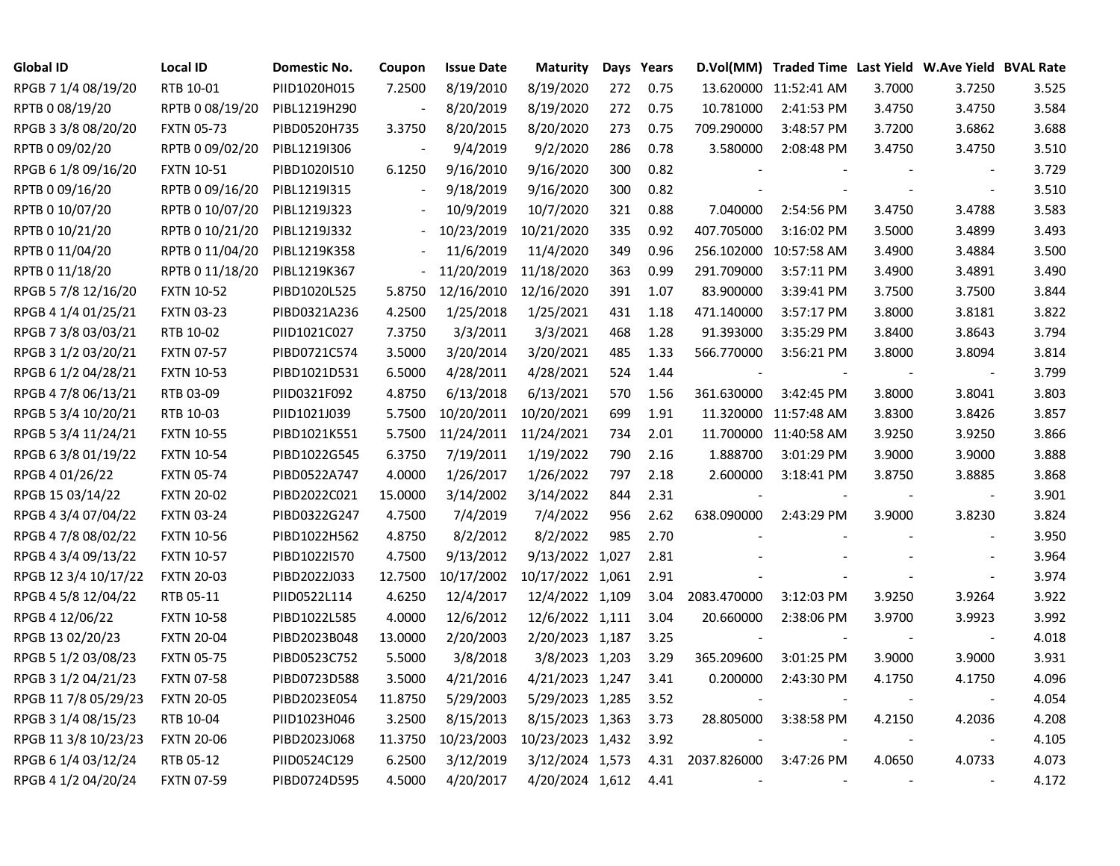| Global ID            | Local ID          | Domestic No. | Coupon                   | <b>Issue Date</b> | <b>Maturity</b>  |     | Days Years |                          | D.Vol(MM) Traded Time Last Yield W.Ave Yield BVAL Rate |        |                          |       |
|----------------------|-------------------|--------------|--------------------------|-------------------|------------------|-----|------------|--------------------------|--------------------------------------------------------|--------|--------------------------|-------|
| RPGB 7 1/4 08/19/20  | RTB 10-01         | PIID1020H015 | 7.2500                   | 8/19/2010         | 8/19/2020        | 272 | 0.75       |                          | 13.620000 11:52:41 AM                                  | 3.7000 | 3.7250                   | 3.525 |
| RPTB 0 08/19/20      | RPTB 0 08/19/20   | PIBL1219H290 |                          | 8/20/2019         | 8/19/2020        | 272 | 0.75       | 10.781000                | 2:41:53 PM                                             | 3.4750 | 3.4750                   | 3.584 |
| RPGB 3 3/8 08/20/20  | <b>FXTN 05-73</b> | PIBD0520H735 | 3.3750                   | 8/20/2015         | 8/20/2020        | 273 | 0.75       | 709.290000               | 3:48:57 PM                                             | 3.7200 | 3.6862                   | 3.688 |
| RPTB 0 09/02/20      | RPTB 0 09/02/20   | PIBL1219I306 |                          | 9/4/2019          | 9/2/2020         | 286 | 0.78       | 3.580000                 | 2:08:48 PM                                             | 3.4750 | 3.4750                   | 3.510 |
| RPGB 6 1/8 09/16/20  | <b>FXTN 10-51</b> | PIBD1020I510 | 6.1250                   | 9/16/2010         | 9/16/2020        | 300 | 0.82       |                          |                                                        |        | $\overline{\phantom{a}}$ | 3.729 |
| RPTB 0 09/16/20      | RPTB 0 09/16/20   | PIBL1219I315 | $\blacksquare$           | 9/18/2019         | 9/16/2020        | 300 | 0.82       |                          |                                                        |        | $\blacksquare$           | 3.510 |
| RPTB 0 10/07/20      | RPTB 0 10/07/20   | PIBL1219J323 |                          | 10/9/2019         | 10/7/2020        | 321 | 0.88       | 7.040000                 | 2:54:56 PM                                             | 3.4750 | 3.4788                   | 3.583 |
| RPTB 0 10/21/20      | RPTB 0 10/21/20   | PIBL1219J332 | $\overline{\phantom{a}}$ | 10/23/2019        | 10/21/2020       | 335 | 0.92       | 407.705000               | 3:16:02 PM                                             | 3.5000 | 3.4899                   | 3.493 |
| RPTB 0 11/04/20      | RPTB 0 11/04/20   | PIBL1219K358 |                          | 11/6/2019         | 11/4/2020        | 349 | 0.96       |                          | 256.102000 10:57:58 AM                                 | 3.4900 | 3.4884                   | 3.500 |
| RPTB 0 11/18/20      | RPTB 0 11/18/20   | PIBL1219K367 |                          | 11/20/2019        | 11/18/2020       | 363 | 0.99       | 291.709000               | 3:57:11 PM                                             | 3.4900 | 3.4891                   | 3.490 |
| RPGB 5 7/8 12/16/20  | <b>FXTN 10-52</b> | PIBD1020L525 | 5.8750                   | 12/16/2010        | 12/16/2020       | 391 | 1.07       | 83.900000                | 3:39:41 PM                                             | 3.7500 | 3.7500                   | 3.844 |
| RPGB 4 1/4 01/25/21  | <b>FXTN 03-23</b> | PIBD0321A236 | 4.2500                   | 1/25/2018         | 1/25/2021        | 431 | 1.18       | 471.140000               | 3:57:17 PM                                             | 3.8000 | 3.8181                   | 3.822 |
| RPGB 7 3/8 03/03/21  | RTB 10-02         | PIID1021C027 | 7.3750                   | 3/3/2011          | 3/3/2021         | 468 | 1.28       | 91.393000                | 3:35:29 PM                                             | 3.8400 | 3.8643                   | 3.794 |
| RPGB 3 1/2 03/20/21  | <b>FXTN 07-57</b> | PIBD0721C574 | 3.5000                   | 3/20/2014         | 3/20/2021        | 485 | 1.33       | 566.770000               | 3:56:21 PM                                             | 3.8000 | 3.8094                   | 3.814 |
| RPGB 6 1/2 04/28/21  | <b>FXTN 10-53</b> | PIBD1021D531 | 6.5000                   | 4/28/2011         | 4/28/2021        | 524 | 1.44       |                          |                                                        |        |                          | 3.799 |
| RPGB 4 7/8 06/13/21  | RTB 03-09         | PIID0321F092 | 4.8750                   | 6/13/2018         | 6/13/2021        | 570 | 1.56       | 361.630000               | 3:42:45 PM                                             | 3.8000 | 3.8041                   | 3.803 |
| RPGB 5 3/4 10/20/21  | RTB 10-03         | PIID1021J039 | 5.7500                   | 10/20/2011        | 10/20/2021       | 699 | 1.91       |                          | 11.320000 11:57:48 AM                                  | 3.8300 | 3.8426                   | 3.857 |
| RPGB 5 3/4 11/24/21  | <b>FXTN 10-55</b> | PIBD1021K551 | 5.7500                   | 11/24/2011        | 11/24/2021       | 734 | 2.01       |                          | 11.700000 11:40:58 AM                                  | 3.9250 | 3.9250                   | 3.866 |
| RPGB 63/8 01/19/22   | <b>FXTN 10-54</b> | PIBD1022G545 | 6.3750                   | 7/19/2011         | 1/19/2022        | 790 | 2.16       | 1.888700                 | 3:01:29 PM                                             | 3.9000 | 3.9000                   | 3.888 |
| RPGB 4 01/26/22      | <b>FXTN 05-74</b> | PIBD0522A747 | 4.0000                   | 1/26/2017         | 1/26/2022        | 797 | 2.18       | 2.600000                 | 3:18:41 PM                                             | 3.8750 | 3.8885                   | 3.868 |
| RPGB 15 03/14/22     | <b>FXTN 20-02</b> | PIBD2022C021 | 15.0000                  | 3/14/2002         | 3/14/2022        | 844 | 2.31       |                          |                                                        |        | $\blacksquare$           | 3.901 |
| RPGB 4 3/4 07/04/22  | <b>FXTN 03-24</b> | PIBD0322G247 | 4.7500                   | 7/4/2019          | 7/4/2022         | 956 | 2.62       | 638.090000               | 2:43:29 PM                                             | 3.9000 | 3.8230                   | 3.824 |
| RPGB 4 7/8 08/02/22  | <b>FXTN 10-56</b> | PIBD1022H562 | 4.8750                   | 8/2/2012          | 8/2/2022         | 985 | 2.70       |                          |                                                        |        | $\blacksquare$           | 3.950 |
| RPGB 4 3/4 09/13/22  | <b>FXTN 10-57</b> | PIBD1022I570 | 4.7500                   | 9/13/2012         | 9/13/2022 1,027  |     | 2.81       |                          |                                                        |        | $\sim$                   | 3.964 |
| RPGB 12 3/4 10/17/22 | <b>FXTN 20-03</b> | PIBD2022J033 | 12.7500                  | 10/17/2002        | 10/17/2022 1,061 |     | 2.91       |                          |                                                        |        | $\blacksquare$           | 3.974 |
| RPGB 4 5/8 12/04/22  | RTB 05-11         | PIID0522L114 | 4.6250                   | 12/4/2017         | 12/4/2022 1,109  |     | 3.04       | 2083.470000              | 3:12:03 PM                                             | 3.9250 | 3.9264                   | 3.922 |
| RPGB 4 12/06/22      | <b>FXTN 10-58</b> | PIBD1022L585 | 4.0000                   | 12/6/2012         | 12/6/2022 1,111  |     | 3.04       | 20.660000                | 2:38:06 PM                                             | 3.9700 | 3.9923                   | 3.992 |
| RPGB 13 02/20/23     | <b>FXTN 20-04</b> | PIBD2023B048 | 13.0000                  | 2/20/2003         | 2/20/2023 1,187  |     | 3.25       |                          |                                                        |        | $\blacksquare$           | 4.018 |
| RPGB 5 1/2 03/08/23  | <b>FXTN 05-75</b> | PIBD0523C752 | 5.5000                   | 3/8/2018          | 3/8/2023 1,203   |     | 3.29       | 365.209600               | 3:01:25 PM                                             | 3.9000 | 3.9000                   | 3.931 |
| RPGB 3 1/2 04/21/23  | <b>FXTN 07-58</b> | PIBD0723D588 | 3.5000                   | 4/21/2016         | 4/21/2023 1,247  |     | 3.41       | 0.200000                 | 2:43:30 PM                                             | 4.1750 | 4.1750                   | 4.096 |
| RPGB 11 7/8 05/29/23 | <b>FXTN 20-05</b> | PIBD2023E054 | 11.8750                  | 5/29/2003         | 5/29/2023 1,285  |     | 3.52       |                          |                                                        |        | $\blacksquare$           | 4.054 |
| RPGB 3 1/4 08/15/23  | RTB 10-04         | PIID1023H046 | 3.2500                   | 8/15/2013         | 8/15/2023 1,363  |     | 3.73       | 28.805000                | 3:38:58 PM                                             | 4.2150 | 4.2036                   | 4.208 |
| RPGB 11 3/8 10/23/23 | <b>FXTN 20-06</b> | PIBD2023J068 | 11.3750                  | 10/23/2003        | 10/23/2023 1,432 |     | 3.92       |                          |                                                        | $\sim$ | $\blacksquare$           | 4.105 |
| RPGB 6 1/4 03/12/24  | RTB 05-12         | PIID0524C129 | 6.2500                   | 3/12/2019         | 3/12/2024 1,573  |     | 4.31       | 2037.826000              | 3:47:26 PM                                             | 4.0650 | 4.0733                   | 4.073 |
| RPGB 4 1/2 04/20/24  | <b>FXTN 07-59</b> | PIBD0724D595 | 4.5000                   | 4/20/2017         | 4/20/2024 1,612  |     | 4.41       | $\overline{\phantom{a}}$ |                                                        |        |                          | 4.172 |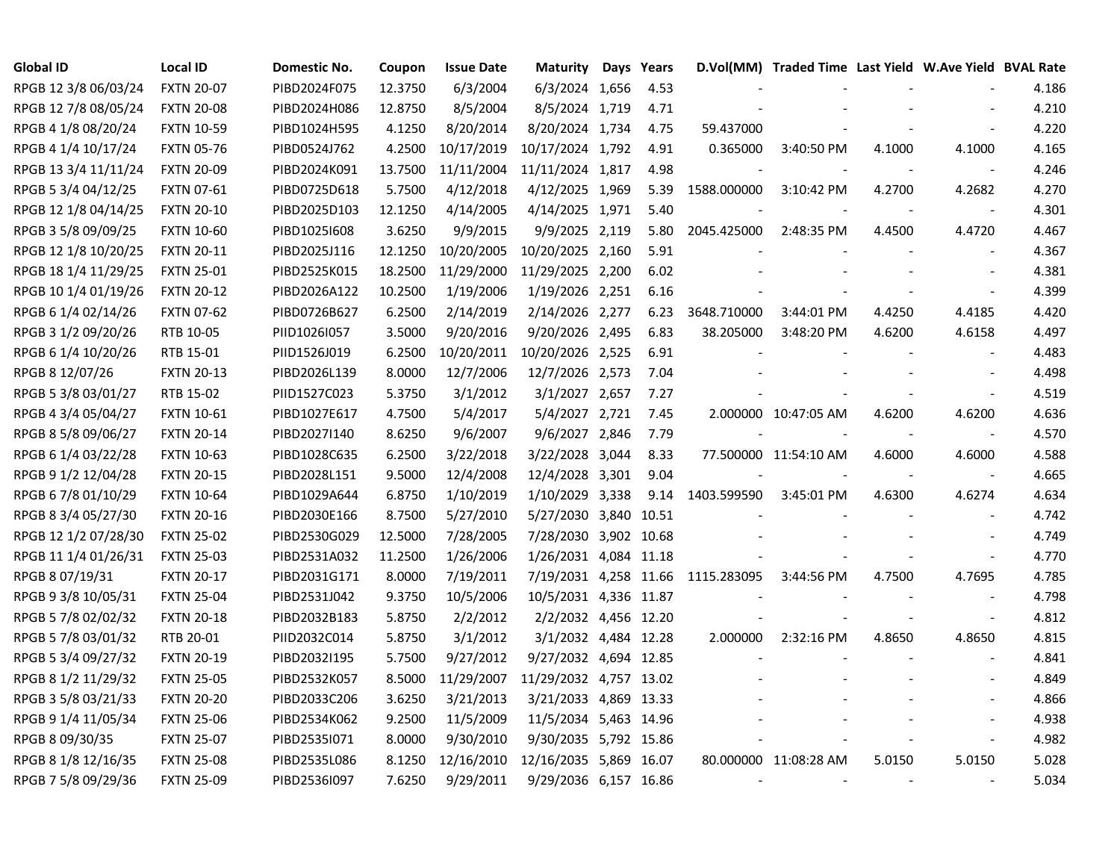| Global ID            | <b>Local ID</b>   | Domestic No. | Coupon  | <b>Issue Date</b> | Maturity               | Days Years |             | D.Vol(MM) Traded Time Last Yield W.Ave Yield BVAL Rate |        |                             |       |
|----------------------|-------------------|--------------|---------|-------------------|------------------------|------------|-------------|--------------------------------------------------------|--------|-----------------------------|-------|
| RPGB 12 3/8 06/03/24 | <b>FXTN 20-07</b> | PIBD2024F075 | 12.3750 | 6/3/2004          | 6/3/2024 1,656         | 4.53       |             |                                                        |        |                             | 4.186 |
| RPGB 12 7/8 08/05/24 | <b>FXTN 20-08</b> | PIBD2024H086 | 12.8750 | 8/5/2004          | 8/5/2024 1,719         | 4.71       |             |                                                        |        |                             | 4.210 |
| RPGB 4 1/8 08/20/24  | <b>FXTN 10-59</b> | PIBD1024H595 | 4.1250  | 8/20/2014         | 8/20/2024 1,734        | 4.75       | 59.437000   |                                                        |        |                             | 4.220 |
| RPGB 4 1/4 10/17/24  | <b>FXTN 05-76</b> | PIBD0524J762 | 4.2500  | 10/17/2019        | 10/17/2024 1,792       | 4.91       | 0.365000    | 3:40:50 PM                                             | 4.1000 | 4.1000                      | 4.165 |
| RPGB 13 3/4 11/11/24 | <b>FXTN 20-09</b> | PIBD2024K091 | 13.7500 | 11/11/2004        | 11/11/2024 1,817       | 4.98       |             |                                                        |        |                             | 4.246 |
| RPGB 5 3/4 04/12/25  | <b>FXTN 07-61</b> | PIBD0725D618 | 5.7500  | 4/12/2018         | 4/12/2025 1,969        | 5.39       | 1588.000000 | 3:10:42 PM                                             | 4.2700 | 4.2682                      | 4.270 |
| RPGB 12 1/8 04/14/25 | <b>FXTN 20-10</b> | PIBD2025D103 | 12.1250 | 4/14/2005         | 4/14/2025 1,971        | 5.40       |             |                                                        |        | $\sim$                      | 4.301 |
| RPGB 3 5/8 09/09/25  | <b>FXTN 10-60</b> | PIBD10251608 | 3.6250  | 9/9/2015          | 9/9/2025 2,119         | 5.80       | 2045.425000 | 2:48:35 PM                                             | 4.4500 | 4.4720                      | 4.467 |
| RPGB 12 1/8 10/20/25 | <b>FXTN 20-11</b> | PIBD2025J116 | 12.1250 | 10/20/2005        | 10/20/2025 2,160       | 5.91       |             |                                                        |        |                             | 4.367 |
| RPGB 18 1/4 11/29/25 | <b>FXTN 25-01</b> | PIBD2525K015 | 18.2500 | 11/29/2000        | 11/29/2025 2,200       | 6.02       |             |                                                        |        |                             | 4.381 |
| RPGB 10 1/4 01/19/26 | <b>FXTN 20-12</b> | PIBD2026A122 | 10.2500 | 1/19/2006         | 1/19/2026 2,251        | 6.16       |             |                                                        |        |                             | 4.399 |
| RPGB 6 1/4 02/14/26  | <b>FXTN 07-62</b> | PIBD0726B627 | 6.2500  | 2/14/2019         | 2/14/2026 2,277        | 6.23       | 3648.710000 | 3:44:01 PM                                             | 4.4250 | 4.4185                      | 4.420 |
| RPGB 3 1/2 09/20/26  | RTB 10-05         | PIID1026I057 | 3.5000  | 9/20/2016         | 9/20/2026 2,495        | 6.83       | 38.205000   | 3:48:20 PM                                             | 4.6200 | 4.6158                      | 4.497 |
| RPGB 6 1/4 10/20/26  | RTB 15-01         | PIID1526J019 | 6.2500  | 10/20/2011        | 10/20/2026 2,525       | 6.91       |             |                                                        |        |                             | 4.483 |
| RPGB 8 12/07/26      | <b>FXTN 20-13</b> | PIBD2026L139 | 8.0000  | 12/7/2006         | 12/7/2026 2,573        | 7.04       |             |                                                        |        |                             | 4.498 |
| RPGB 5 3/8 03/01/27  | RTB 15-02         | PIID1527C023 | 5.3750  | 3/1/2012          | 3/1/2027 2,657         | 7.27       |             |                                                        |        |                             | 4.519 |
| RPGB 4 3/4 05/04/27  | <b>FXTN 10-61</b> | PIBD1027E617 | 4.7500  | 5/4/2017          | 5/4/2027 2,721         | 7.45       |             | 2.000000 10:47:05 AM                                   | 4.6200 | 4.6200                      | 4.636 |
| RPGB 8 5/8 09/06/27  | <b>FXTN 20-14</b> | PIBD2027I140 | 8.6250  | 9/6/2007          | 9/6/2027 2,846         | 7.79       |             |                                                        |        | $\overline{\phantom{a}}$    | 4.570 |
| RPGB 6 1/4 03/22/28  | <b>FXTN 10-63</b> | PIBD1028C635 | 6.2500  | 3/22/2018         | 3/22/2028 3,044        | 8.33       |             | 77.500000 11:54:10 AM                                  | 4.6000 | 4.6000                      | 4.588 |
| RPGB 9 1/2 12/04/28  | <b>FXTN 20-15</b> | PIBD2028L151 | 9.5000  | 12/4/2008         | 12/4/2028 3,301        | 9.04       |             |                                                        |        | $\overline{\phantom{a}}$    | 4.665 |
| RPGB 67/8 01/10/29   | <b>FXTN 10-64</b> | PIBD1029A644 | 6.8750  | 1/10/2019         | 1/10/2029 3,338        | 9.14       | 1403.599590 | 3:45:01 PM                                             | 4.6300 | 4.6274                      | 4.634 |
| RPGB 8 3/4 05/27/30  | <b>FXTN 20-16</b> | PIBD2030E166 | 8.7500  | 5/27/2010         | 5/27/2030 3,840 10.51  |            |             |                                                        |        |                             | 4.742 |
| RPGB 12 1/2 07/28/30 | <b>FXTN 25-02</b> | PIBD2530G029 | 12.5000 | 7/28/2005         | 7/28/2030 3,902 10.68  |            |             |                                                        |        |                             | 4.749 |
| RPGB 11 1/4 01/26/31 | <b>FXTN 25-03</b> | PIBD2531A032 | 11.2500 | 1/26/2006         | 1/26/2031 4,084 11.18  |            |             |                                                        |        | $\mathcal{L}_{\mathcal{A}}$ | 4.770 |
| RPGB 8 07/19/31      | <b>FXTN 20-17</b> | PIBD2031G171 | 8.0000  | 7/19/2011         | 7/19/2031 4,258 11.66  |            | 1115.283095 | 3:44:56 PM                                             | 4.7500 | 4.7695                      | 4.785 |
| RPGB 9 3/8 10/05/31  | <b>FXTN 25-04</b> | PIBD2531J042 | 9.3750  | 10/5/2006         | 10/5/2031 4,336 11.87  |            |             |                                                        |        | $\blacksquare$              | 4.798 |
| RPGB 5 7/8 02/02/32  | <b>FXTN 20-18</b> | PIBD2032B183 | 5.8750  | 2/2/2012          | 2/2/2032 4,456 12.20   |            |             |                                                        |        | $\overline{\phantom{a}}$    | 4.812 |
| RPGB 5 7/8 03/01/32  | RTB 20-01         | PIID2032C014 | 5.8750  | 3/1/2012          | 3/1/2032 4,484 12.28   |            | 2.000000    | 2:32:16 PM                                             | 4.8650 | 4.8650                      | 4.815 |
| RPGB 5 3/4 09/27/32  | <b>FXTN 20-19</b> | PIBD2032I195 | 5.7500  | 9/27/2012         | 9/27/2032 4,694 12.85  |            |             |                                                        |        |                             | 4.841 |
| RPGB 8 1/2 11/29/32  | <b>FXTN 25-05</b> | PIBD2532K057 | 8.5000  | 11/29/2007        | 11/29/2032 4,757 13.02 |            |             |                                                        |        |                             | 4.849 |
| RPGB 3 5/8 03/21/33  | <b>FXTN 20-20</b> | PIBD2033C206 | 3.6250  | 3/21/2013         | 3/21/2033 4,869 13.33  |            |             |                                                        |        |                             | 4.866 |
| RPGB 9 1/4 11/05/34  | <b>FXTN 25-06</b> | PIBD2534K062 | 9.2500  | 11/5/2009         | 11/5/2034 5,463 14.96  |            |             |                                                        |        |                             | 4.938 |
| RPGB 8 09/30/35      | <b>FXTN 25-07</b> | PIBD2535I071 | 8.0000  | 9/30/2010         | 9/30/2035 5,792 15.86  |            |             |                                                        |        | $\overline{\phantom{a}}$    | 4.982 |
| RPGB 8 1/8 12/16/35  | <b>FXTN 25-08</b> | PIBD2535L086 | 8.1250  | 12/16/2010        | 12/16/2035 5,869 16.07 |            |             | 80.000000 11:08:28 AM                                  | 5.0150 | 5.0150                      | 5.028 |
| RPGB 7 5/8 09/29/36  | <b>FXTN 25-09</b> | PIBD2536I097 | 7.6250  | 9/29/2011         | 9/29/2036 6,157 16.86  |            |             |                                                        |        |                             | 5.034 |